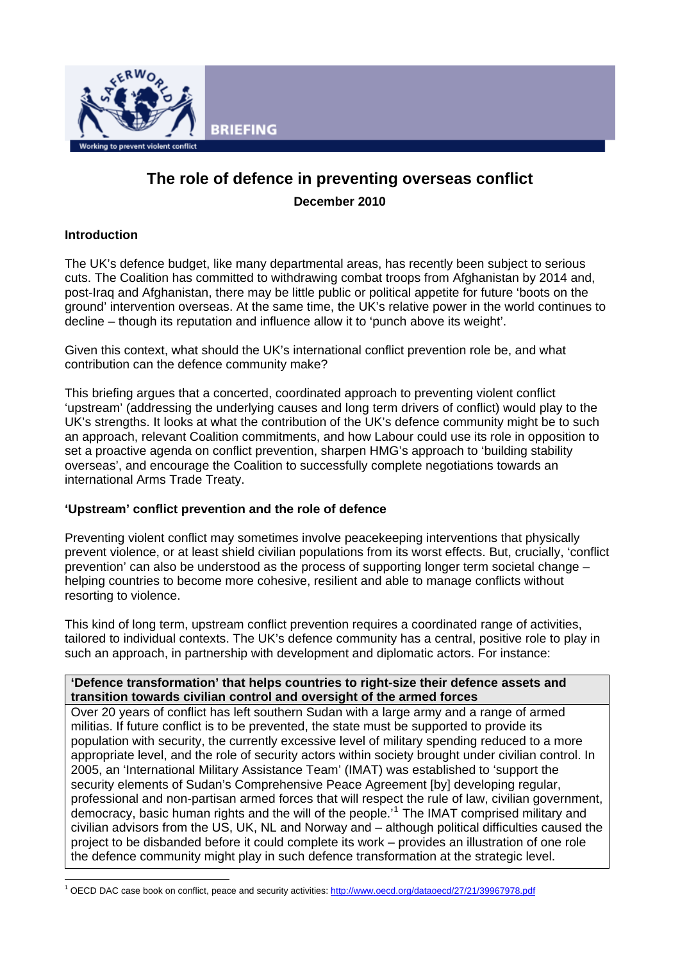

# **The role of defence in preventing overseas conflict December 2010**

# **Introduction**

The UK's defence budget, like many departmental areas, has recently been subject to serious cuts. The Coalition has committed to withdrawing combat troops from Afghanistan by 2014 and, post-Iraq and Afghanistan, there may be little public or political appetite for future 'boots on the ground' intervention overseas. At the same time, the UK's relative power in the world continues to decline – though its reputation and influence allow it to 'punch above its weight'.

Given this context, what should the UK's international conflict prevention role be, and what contribution can the defence community make?

This briefing argues that a concerted, coordinated approach to preventing violent conflict 'upstream' (addressing the underlying causes and long term drivers of conflict) would play to the UK's strengths. It looks at what the contribution of the UK's defence community might be to such an approach, relevant Coalition commitments, and how Labour could use its role in opposition to set a proactive agenda on conflict prevention, sharpen HMG's approach to 'building stability overseas', and encourage the Coalition to successfully complete negotiations towards an international Arms Trade Treaty.

## **'Upstream' conflict prevention and the role of defence**

Preventing violent conflict may sometimes involve peacekeeping interventions that physically prevent violence, or at least shield civilian populations from its worst effects. But, crucially, 'conflict prevention' can also be understood as the process of supporting longer term societal change – helping countries to become more cohesive, resilient and able to manage conflicts without resorting to violence.

This kind of long term, upstream conflict prevention requires a coordinated range of activities, tailored to individual contexts. The UK's defence community has a central, positive role to play in such an approach, in partnership with development and diplomatic actors. For instance:

#### **'Defence transformation' that helps countries to right-size their defence assets and transition towards civilian control and oversight of the armed forces**

Over 20 years of conflict has left southern Sudan with a large army and a range of armed militias. If future conflict is to be prevented, the state must be supported to provide its population with security, the currently excessive level of military spending reduced to a more appropriate level, and the role of security actors within society brought under civilian control. In 2005, an 'International Military Assistance Team' (IMAT) was established to 'support the security elements of Sudan's Comprehensive Peace Agreement [by] developing regular, professional and non-partisan armed forces that will respect the rule of law, civilian government, democracy, basic human rights and the will of the people.'<sup>[1](#page-0-0)</sup> The IMAT comprised military and civilian advisors from the US, UK, NL and Norway and – although political difficulties caused the project to be disbanded before it could complete its work – provides an illustration of one role the defence community might play in such defence transformation at the strategic level.

<span id="page-0-0"></span> $\overline{a}$ 1 OECD DAC case book on conflict, peace and security activities: <http://www.oecd.org/dataoecd/27/21/39967978.pdf>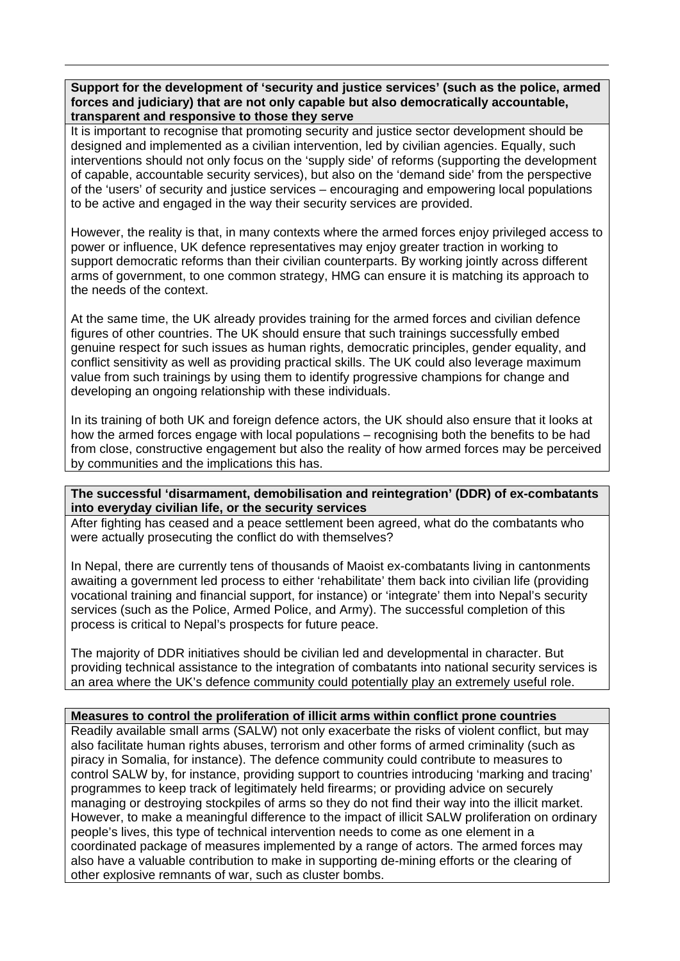**Support for the development of 'security and justice services' (such as the police, armed forces and judiciary) that are not only capable but also democratically accountable, transparent and responsive to those they serve** 

It is important to recognise that promoting security and justice sector development should be designed and implemented as a civilian intervention, led by civilian agencies. Equally, such interventions should not only focus on the 'supply side' of reforms (supporting the development of capable, accountable security services), but also on the 'demand side' from the perspective of the 'users' of security and justice services – encouraging and empowering local populations to be active and engaged in the way their security services are provided.

However, the reality is that, in many contexts where the armed forces enjoy privileged access to power or influence, UK defence representatives may enjoy greater traction in working to support democratic reforms than their civilian counterparts. By working jointly across different arms of government, to one common strategy, HMG can ensure it is matching its approach to the needs of the context.

At the same time, the UK already provides training for the armed forces and civilian defence figures of other countries. The UK should ensure that such trainings successfully embed genuine respect for such issues as human rights, democratic principles, gender equality, and conflict sensitivity as well as providing practical skills. The UK could also leverage maximum value from such trainings by using them to identify progressive champions for change and developing an ongoing relationship with these individuals.

In its training of both UK and foreign defence actors, the UK should also ensure that it looks at how the armed forces engage with local populations – recognising both the benefits to be had from close, constructive engagement but also the reality of how armed forces may be perceived by communities and the implications this has.

## **The successful 'disarmament, demobilisation and reintegration' (DDR) of ex-combatants into everyday civilian life, or the security services**

After fighting has ceased and a peace settlement been agreed, what do the combatants who were actually prosecuting the conflict do with themselves?

In Nepal, there are currently tens of thousands of Maoist ex-combatants living in cantonments awaiting a government led process to either 'rehabilitate' them back into civilian life (providing vocational training and financial support, for instance) or 'integrate' them into Nepal's security services (such as the Police, Armed Police, and Army). The successful completion of this process is critical to Nepal's prospects for future peace.

The majority of DDR initiatives should be civilian led and developmental in character. But providing technical assistance to the integration of combatants into national security services is an area where the UK's defence community could potentially play an extremely useful role.

## **Measures to control the proliferation of illicit arms within conflict prone countries**

Readily available small arms (SALW) not only exacerbate the risks of violent conflict, but may also facilitate human rights abuses, terrorism and other forms of armed criminality (such as piracy in Somalia, for instance). The defence community could contribute to measures to control SALW by, for instance, providing support to countries introducing 'marking and tracing' programmes to keep track of legitimately held firearms; or providing advice on securely managing or destroying stockpiles of arms so they do not find their way into the illicit market. However, to make a meaningful difference to the impact of illicit SALW proliferation on ordinary people's lives, this type of technical intervention needs to come as one element in a coordinated package of measures implemented by a range of actors. The armed forces may also have a valuable contribution to make in supporting de-mining efforts or the clearing of other explosive remnants of war, such as cluster bombs.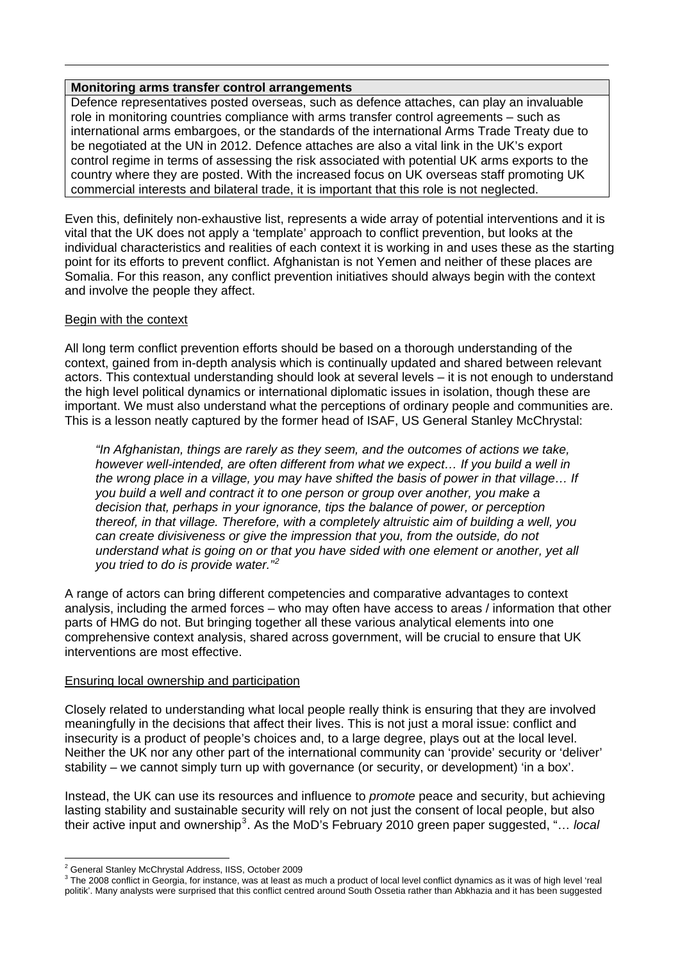#### **Monitoring arms transfer control arrangements**

Defence representatives posted overseas, such as defence attaches, can play an invaluable role in monitoring countries compliance with arms transfer control agreements – such as international arms embargoes, or the standards of the international Arms Trade Treaty due to be negotiated at the UN in 2012. Defence attaches are also a vital link in the UK's export control regime in terms of assessing the risk associated with potential UK arms exports to the country where they are posted. With the increased focus on UK overseas staff promoting UK commercial interests and bilateral trade, it is important that this role is not neglected.

Even this, definitely non-exhaustive list, represents a wide array of potential interventions and it is vital that the UK does not apply a 'template' approach to conflict prevention, but looks at the individual characteristics and realities of each context it is working in and uses these as the starting point for its efforts to prevent conflict. Afghanistan is not Yemen and neither of these places are Somalia. For this reason, any conflict prevention initiatives should always begin with the context and involve the people they affect.

## Begin with the context

All long term conflict prevention efforts should be based on a thorough understanding of the context, gained from in-depth analysis which is continually updated and shared between relevant actors. This contextual understanding should look at several levels – it is not enough to understand the high level political dynamics or international diplomatic issues in isolation, though these are important. We must also understand what the perceptions of ordinary people and communities are. This is a lesson neatly captured by the former head of ISAF, US General Stanley McChrystal:

*"In Afghanistan, things are rarely as they seem, and the outcomes of actions we take, however well-intended, are often different from what we expect… If you build a well in the wrong place in a village, you may have shifted the basis of power in that village… If you build a well and contract it to one person or group over another, you make a decision that, perhaps in your ignorance, tips the balance of power, or perception thereof, in that village. Therefore, with a completely altruistic aim of building a well, you can create divisiveness or give the impression that you, from the outside, do not understand what is going on or that you have sided with one element or another, yet all you tried to do is provide water."[2](#page-2-0)*

A range of actors can bring different competencies and comparative advantages to context analysis, including the armed forces – who may often have access to areas / information that other parts of HMG do not. But bringing together all these various analytical elements into one comprehensive context analysis, shared across government, will be crucial to ensure that UK interventions are most effective.

## Ensuring local ownership and participation

Closely related to understanding what local people really think is ensuring that they are involved meaningfully in the decisions that affect their lives. This is not just a moral issue: conflict and insecurity is a product of people's choices and, to a large degree, plays out at the local level. Neither the UK nor any other part of the international community can 'provide' security or 'deliver' stability – we cannot simply turn up with governance (or security, or development) 'in a box'.

Instead, the UK can use its resources and influence to *promote* peace and security, but achieving lasting stability and sustainable security will rely on not just the consent of local people, but also their active input and ownership<sup>[3](#page-2-1)</sup>. As the MoD's February 2010 green paper suggested, "... *local* 

 $\overline{a}$ <sup>2</sup> General Stanley McChrystal Address, IISS, October 2009

<span id="page-2-1"></span><span id="page-2-0"></span> $^3$  The 2008 conflict in Georgia, for instance, was at least as much a product of local level conflict dynamics as it was of high level 'real politik'. Many analysts were surprised that this conflict centred around South Ossetia rather than Abkhazia and it has been suggested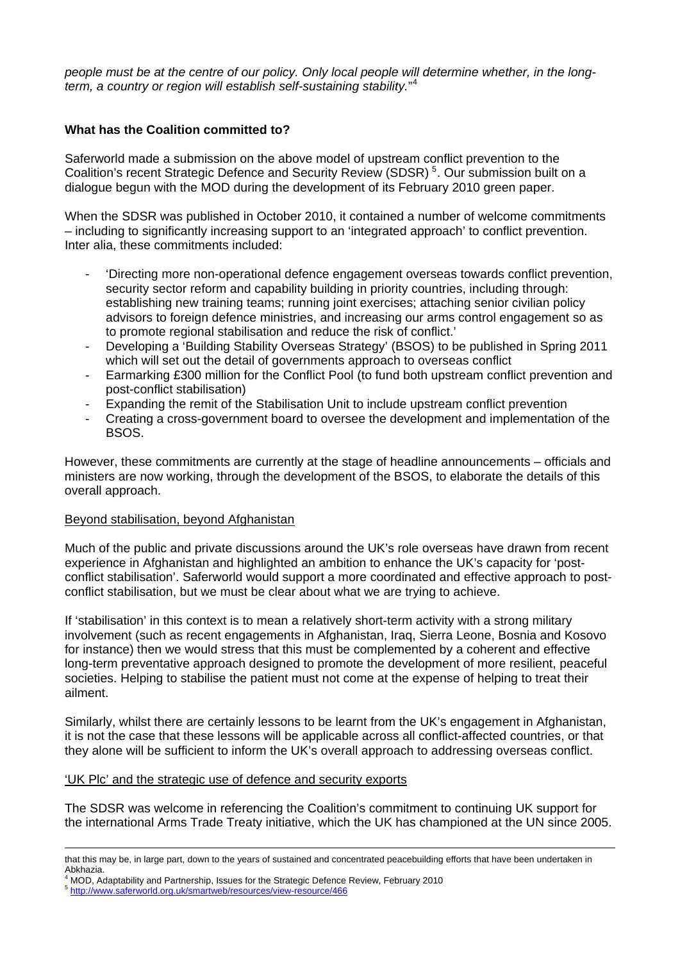*people must be at the centre of our policy. Only local people will determine whether, in the longterm, a country or region will establish self-sustaining stability.*" [4](#page-3-0)

## **What has the Coalition committed to?**

Saferworld made a submission on the above model of upstream conflict prevention to the Coalition's recent Strategic Defence and Security Review (SDSR)<sup>[5](#page-3-1)</sup>. Our submission built on a dialogue begun with the MOD during the development of its February 2010 green paper.

When the SDSR was published in October 2010, it contained a number of welcome commitments – including to significantly increasing support to an 'integrated approach' to conflict prevention. Inter alia, these commitments included:

- 'Directing more non-operational defence engagement overseas towards conflict prevention, security sector reform and capability building in priority countries, including through: establishing new training teams; running joint exercises; attaching senior civilian policy advisors to foreign defence ministries, and increasing our arms control engagement so as to promote regional stabilisation and reduce the risk of conflict.'
- Developing a 'Building Stability Overseas Strategy' (BSOS) to be published in Spring 2011 which will set out the detail of governments approach to overseas conflict
- Earmarking £300 million for the Conflict Pool (to fund both upstream conflict prevention and post-conflict stabilisation)
- Expanding the remit of the Stabilisation Unit to include upstream conflict prevention
- Creating a cross-government board to oversee the development and implementation of the BSOS.

However, these commitments are currently at the stage of headline announcements – officials and ministers are now working, through the development of the BSOS, to elaborate the details of this overall approach.

## Beyond stabilisation, beyond Afghanistan

Much of the public and private discussions around the UK's role overseas have drawn from recent experience in Afghanistan and highlighted an ambition to enhance the UK's capacity for 'postconflict stabilisation'. Saferworld would support a more coordinated and effective approach to postconflict stabilisation, but we must be clear about what we are trying to achieve.

If 'stabilisation' in this context is to mean a relatively short-term activity with a strong military involvement (such as recent engagements in Afghanistan, Iraq, Sierra Leone, Bosnia and Kosovo for instance) then we would stress that this must be complemented by a coherent and effective long-term preventative approach designed to promote the development of more resilient, peaceful societies. Helping to stabilise the patient must not come at the expense of helping to treat their ailment.

Similarly, whilst there are certainly lessons to be learnt from the UK's engagement in Afghanistan, it is not the case that these lessons will be applicable across all conflict-affected countries, or that they alone will be sufficient to inform the UK's overall approach to addressing overseas conflict.

## 'UK Plc' and the strategic use of defence and security exports

The SDSR was welcome in referencing the Coalition's commitment to continuing UK support for the international Arms Trade Treaty initiative, which the UK has championed at the UN since 2005.

 $\overline{a}$ 

that this may be, in large part, down to the years of sustained and concentrated peacebuilding efforts that have been undertaken in Abkhazia.

<span id="page-3-0"></span><sup>4</sup> MOD, Adaptability and Partnership, Issues for the Strategic Defence [R](http://www.saferworld.org.uk/smartweb/resources/view-resource/466)eview, February 2010

<span id="page-3-1"></span><sup>5</sup> <http://www.saferworld.org.uk/smartweb/resources/view-resource/466>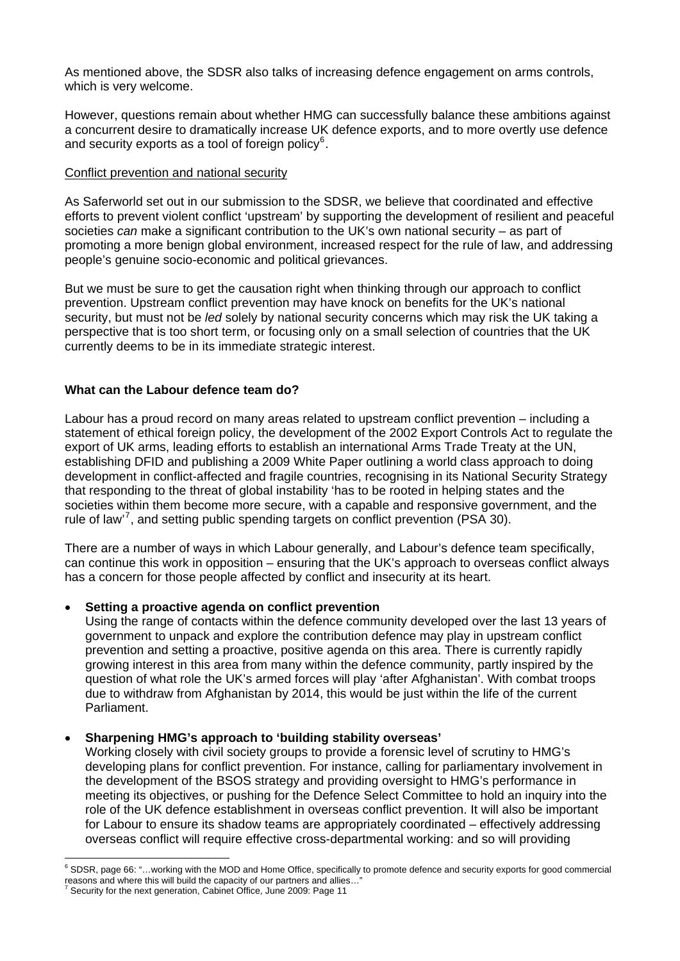As mentioned above, the SDSR also talks of increasing defence engagement on arms controls, which is very welcome.

However, questions remain about whether HMG can successfully balance these ambitions against a concurrent desire to dramatically increase UK defence exports, and to more overtly use defence and security exports as a tool of foreign policy $6$ .

#### Conflict prevention and national security

As Saferworld set out in our submission to the SDSR, we believe that coordinated and effective efforts to prevent violent conflict 'upstream' by supporting the development of resilient and peaceful societies *can* make a significant contribution to the UK's own national security – as part of promoting a more benign global environment, increased respect for the rule of law, and addressing people's genuine socio-economic and political grievances.

But we must be sure to get the causation right when thinking through our approach to conflict prevention. Upstream conflict prevention may have knock on benefits for the UK's national security, but must not be *led* solely by national security concerns which may risk the UK taking a perspective that is too short term, or focusing only on a small selection of countries that the UK currently deems to be in its immediate strategic interest.

## **What can the Labour defence team do?**

Labour has a proud record on many areas related to upstream conflict prevention – including a statement of ethical foreign policy, the development of the 2002 Export Controls Act to regulate the export of UK arms, leading efforts to establish an international Arms Trade Treaty at the UN, establishing DFID and publishing a 2009 White Paper outlining a world class approach to doing development in conflict-affected and fragile countries, recognising in its National Security Strategy that responding to the threat of global instability 'has to be rooted in helping states and the societies within them become more secure, with a capable and responsive government, and the rule of law<sup>'[7](#page-4-1)</sup>, and setting public spending targets on conflict prevention (PSA 30).

There are a number of ways in which Labour generally, and Labour's defence team specifically, can continue this work in opposition – ensuring that the UK's approach to overseas conflict always has a concern for those people affected by conflict and insecurity at its heart.

## **Setting a proactive agenda on conflict prevention**

Using the range of contacts within the defence community developed over the last 13 years of government to unpack and explore the contribution defence may play in upstream conflict prevention and setting a proactive, positive agenda on this area. There is currently rapidly growing interest in this area from many within the defence community, partly inspired by the question of what role the UK's armed forces will play 'after Afghanistan'. With combat troops due to withdraw from Afghanistan by 2014, this would be just within the life of the current Parliament.

#### **Sharpening HMG's approach to 'building stability overseas'**

Working closely with civil society groups to provide a forensic level of scrutiny to HMG's developing plans for conflict prevention. For instance, calling for parliamentary involvement in the development of the BSOS strategy and providing oversight to HMG's performance in meeting its objectives, or pushing for the Defence Select Committee to hold an inquiry into the role of the UK defence establishment in overseas conflict prevention. It will also be important for Labour to ensure its shadow teams are appropriately coordinated – effectively addressing overseas conflict will require effective cross-departmental working: and so will providing

<span id="page-4-0"></span> 6 SDSR, page 66: "…working with the MOD and Home Office, specifically to promote defence and security exports for good commercial reasons and where this will build the capacity of our partners and allies..."<br><sup>7</sup> Seauth for the next generation. Cobinat Office, June 2000: Page 44.

<span id="page-4-1"></span>Security for the next generation, Cabinet Office, June 2009: Page 11